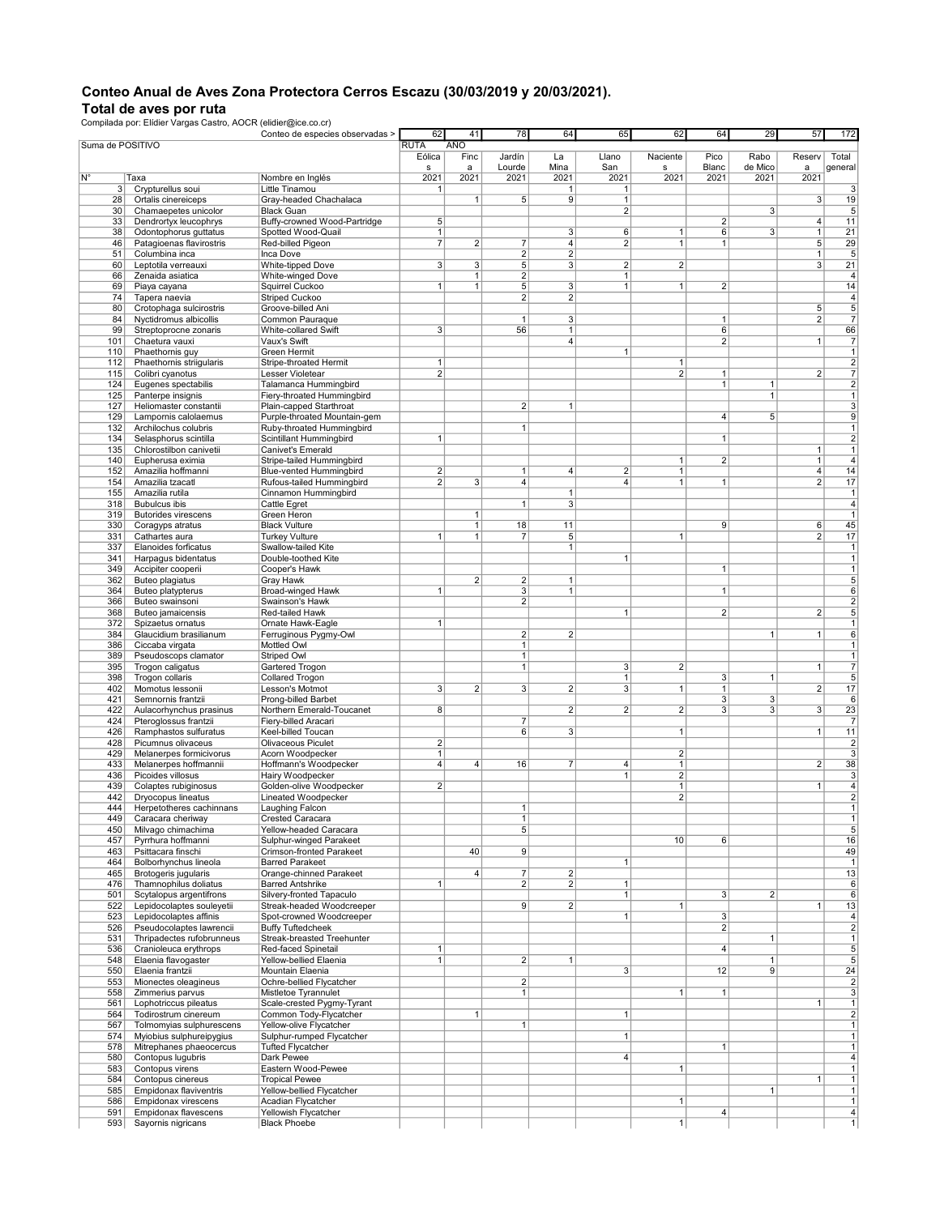## Conteo Anual de Aves Zona Protectora Cerros Escazu (30/03/2019 y 20/03/2021).

Total de aves por ruta Compilada por: Elídier Vargas Castro, AOCR (elidier@ice.co.cr)

|                  |                                                  | Conteo de especies observadas >                             | 62                  | 41             | 78                             | 64             | 65                  | 62                           | 64             | 29             | 57             | 172                              |
|------------------|--------------------------------------------------|-------------------------------------------------------------|---------------------|----------------|--------------------------------|----------------|---------------------|------------------------------|----------------|----------------|----------------|----------------------------------|
| Suma de POSITIVO |                                                  |                                                             | <b>RUTA</b>         | AÑO            |                                |                |                     |                              |                |                |                |                                  |
|                  |                                                  |                                                             | Eólica              | Finc           | Jardín                         | La             | Llano               | Naciente                     | Pico           | Rabo           | Reserv         | Total                            |
|                  |                                                  |                                                             | s                   | a              | Lourde                         | Mina           | San                 | s                            | Blanc          | de Mico        | a              | general                          |
| N°               | Таха                                             | Nombre en Inglés                                            | 2021                | 2021           | 2021                           | 2021           | 2021                | 2021                         | 2021           | 2021           | 2021           |                                  |
| 3                | Crypturellus soui                                | Little Tinamou                                              | $\mathbf{1}$        |                |                                | $\mathbf{1}$   | $\mathbf{1}$        |                              |                |                |                | 3                                |
| 28               | Ortalis cinereiceps                              | Gray-headed Chachalaca<br><b>Black Guan</b>                 |                     | $\mathbf{1}$   | 5 <sup>5</sup>                 | $\overline{9}$ | 1<br>$\overline{2}$ |                              |                | $\overline{3}$ | 3              | 19                               |
| 30<br>33         | Chamaepetes unicolor<br>Dendrortyx leucophrys    | Buffy-crowned Wood-Partridge                                | 5 <sup>5</sup>      |                |                                |                |                     |                              | 2              |                | 4              | $\overline{5}$<br>11             |
| 38               | Odontophorus guttatus                            | Spotted Wood-Quail                                          | 1                   |                |                                | $\mathbf{3}$   | 6                   | 1                            | 6              | 3              | 1              | 21                               |
| 46               | Patagioenas flavirostris                         | Red-billed Pigeon                                           | $\overline{7}$      | $\overline{2}$ | 7                              | $\overline{4}$ | 2                   | $\mathbf{1}$                 | 1              |                | 5 <sub>5</sub> | 29                               |
| 51               | Columbina inca                                   | Inca Dove                                                   |                     |                | $\overline{2}$                 | $\overline{2}$ |                     |                              |                |                | $\overline{1}$ | $5\overline{5}$                  |
| 60               | Leptotila verreauxi                              | White-tipped Dove                                           | 3 <sup>1</sup>      | $\overline{3}$ | $\sqrt{5}$                     | $\mathbf{3}$   | $\overline{2}$      | 2 <sup>2</sup>               |                |                | $\overline{3}$ | 21                               |
| 66               | Zenaida asiatica                                 | White-winged Dove                                           |                     | $\mathbf{1}$   | $\overline{2}$                 |                | $\mathbf{1}$        |                              |                |                |                | $\overline{4}$                   |
| 69               | Piaya cayana                                     | Squirrel Cuckoo                                             | $\mathbf{1}$        | $\mathbf{1}$   | 5                              | $\mathbf{3}$   | 1                   | 1                            | 2              |                |                | 14                               |
| 74               | Tapera naevia                                    | Striped Cuckoo                                              |                     |                | 2                              | $\overline{2}$ |                     |                              |                |                |                | $\overline{4}$                   |
| 80               | Crotophaga sulcirostris                          | Groove-billed Ani                                           |                     |                |                                |                |                     |                              |                |                | 5              | 5                                |
| 84               | Nyctidromus albicollis                           | Common Pauraque                                             |                     |                | $\mathbf{1}$                   | $\mathbf{3}$   |                     |                              | 1              |                | 2              | $\overline{7}$                   |
| 99               | Streptoprocne zonaris                            | White-collared Swift                                        | 3 <sup>2</sup>      |                | 56                             | $\vert$        |                     |                              | 6              |                |                | 66                               |
| 101              | Chaetura vauxi                                   | Vaux's Swift                                                |                     |                |                                | $\overline{4}$ |                     |                              | $\overline{2}$ |                | 1              | $\overline{7}$                   |
| 110              | Phaethornis guy                                  | Green Hermit                                                |                     |                |                                |                | 1                   |                              |                |                |                | 1                                |
| 112              | Phaethornis striigularis                         | Stripe-throated Hermit                                      | 1                   |                |                                |                |                     | 1                            |                |                |                | $\mathbf{2}$                     |
| 115              | Colibri cyanotus                                 | Lesser Violetear                                            | $\overline{2}$      |                |                                |                |                     | $\overline{2}$               | 1              |                | $\overline{2}$ | $\overline{7}$                   |
| 124              | Eugenes spectabilis                              | Talamanca Hummingbird                                       |                     |                |                                |                |                     |                              | 1              | 1              |                | $\overline{\mathbf{c}}$          |
| 125              | Panterpe insignis                                | Fiery-throated Hummingbird                                  |                     |                |                                |                |                     |                              |                | 1              |                | 1                                |
| 127              | Heliomaster constantii                           | Plain-capped Starthroat                                     |                     |                | $\overline{2}$                 | $\mathbf{1}$   |                     |                              |                |                |                | 3                                |
| 129              | Lampornis calolaemus                             | Purple-throated Mountain-gem                                |                     |                |                                |                |                     |                              | 4 <sup>1</sup> | 5              |                | 9                                |
| 132              | Archilochus colubris                             | Ruby-throated Hummingbird                                   |                     |                | $\mathbf{1}$                   |                |                     |                              |                |                |                | 1                                |
| 134              | Selasphorus scintilla                            | Scintillant Hummingbird                                     | $\mathbf{1}$        |                |                                |                |                     |                              | 1              |                |                | $\overline{c}$                   |
| 135              | Chlorostilbon canivetii                          | Canivet's Emerald                                           |                     |                |                                |                |                     |                              |                |                | $\mathbf{1}$   | 1                                |
| 140              | Eupherusa eximia                                 | Stripe-tailed Hummingbird<br><b>Blue-vented Hummingbird</b> |                     |                |                                |                |                     | $\mathbf{1}$<br>$\mathbf{1}$ | 2              |                | 1<br>4         | $\overline{4}$                   |
| 152<br>154       | Amazilia hoffmanni                               |                                                             | $\overline{2}$<br>2 | 3              | $\mathbf{1}$<br>$\overline{4}$ | $\overline{4}$ | 2<br>4              | 1 <sup>1</sup>               | 1              |                | $\overline{2}$ | 14<br>17                         |
| 155              | Amazilia tzacatl<br>Amazilia rutila              | Rufous-tailed Hummingbird<br>Cinnamon Hummingbird           |                     |                |                                | $\mathbf{1}$   |                     |                              |                |                |                | 1                                |
| 318              | <b>Bubulcus</b> ibis                             | Cattle Egret                                                |                     |                | $\mathbf{1}$                   | $\mathbf{3}$   |                     |                              |                |                |                | $\overline{4}$                   |
| 319              | <b>Butorides virescens</b>                       | Green Heron                                                 |                     | $\mathbf{1}$   |                                |                |                     |                              |                |                |                | 1                                |
| 330              | Coragyps atratus                                 | <b>Black Vulture</b>                                        |                     | $\mathbf{1}$   | 18                             | 11             |                     |                              | 9 <sup>1</sup> |                | 6              | 45                               |
| 331              | Cathartes aura                                   | <b>Turkey Vulture</b>                                       | $\mathbf{1}$        | $\mathbf{1}$   | $\overline{7}$                 | $\sqrt{5}$     |                     | 1                            |                |                | $\overline{2}$ | 17                               |
| 337              | Elanoides forficatus                             | Swallow-tailed Kite                                         |                     |                |                                | $\vert$        |                     |                              |                |                |                | 1                                |
| 341              | Harpagus bidentatus                              | Double-toothed Kite                                         |                     |                |                                |                | $\mathbf{1}$        |                              |                |                |                | 1                                |
| 349              | Accipiter cooperii                               | Cooper's Hawk                                               |                     |                |                                |                |                     |                              | 1              |                |                | $\mathbf{1}$                     |
| 362              | Buteo plagiatus                                  | Gray Hawk                                                   |                     | $\overline{2}$ | $\sqrt{2}$                     | 1              |                     |                              |                |                |                | 5                                |
| 364              | Buteo platypterus                                | Broad-winged Hawk                                           | $\mathbf{1}$        |                | $\mathbf{3}$                   | 1              |                     |                              | 1              |                |                | 6                                |
| 366              | Buteo swainsoni                                  | Swainson's Hawk                                             |                     |                | $\overline{2}$                 |                |                     |                              |                |                |                | $\overline{\mathbf{c}}$          |
| 368              | Buteo jamaicensis                                | Red-tailed Hawk                                             |                     |                |                                |                | $\overline{1}$      |                              | $\overline{2}$ |                | $\overline{2}$ | 5                                |
| 372              | Spizaetus ornatus                                | Ornate Hawk-Eagle                                           | $\mathbf{1}$        |                |                                |                |                     |                              |                |                |                | 1                                |
| 384              | Glaucidium brasilianum                           | Ferruginous Pygmy-Owl                                       |                     |                | $\overline{2}$                 | $\overline{2}$ |                     |                              |                | 1              | 1 <sup>1</sup> | 6                                |
| 386              | Ciccaba virgata                                  | Mottled Owl                                                 |                     |                | $\mathbf{1}$                   |                |                     |                              |                |                |                | 1                                |
| 389              | Pseudoscops clamator                             | Striped Owl                                                 |                     |                | $\mathbf{1}$                   |                |                     |                              |                |                |                | 1                                |
| 395              | Trogon caligatus                                 | Gartered Trogon                                             |                     |                | $\mathbf{1}$                   |                | 3                   | 2                            |                |                | 1              | $\overline{7}$                   |
| 398              | Trogon collaris                                  | Collared Trogon                                             |                     |                |                                |                | $\mathbf{1}$        |                              | 3 <sup>2</sup> | 1              |                | 5                                |
| 402              | Momotus lessonii                                 | Lesson's Motmot                                             | 3                   | $\overline{2}$ | 3                              | $\overline{2}$ | $\mathbf{3}$        | 1 <sup>1</sup>               | 1              |                | $\overline{2}$ | 17                               |
| 421              | Semnornis frantzii                               | Prong-billed Barbet                                         |                     |                |                                |                |                     |                              | 3 <sup>1</sup> | $\overline{3}$ |                | 6                                |
| 422              | Aulacorhynchus prasinus                          | Northern Emerald-Toucanet                                   | 8 <sup>1</sup>      |                |                                | $\overline{2}$ | $\overline{2}$      | $\overline{2}$               | 3 <sup>1</sup> | 3              | $\overline{3}$ | 23                               |
| 424              | Pteroglossus frantzii                            | Fiery-billed Aracari                                        |                     |                | $\overline{7}$                 |                |                     |                              |                |                |                | $\overline{7}$                   |
| 426              | Ramphastos sulfuratus                            | Keel-billed Toucan                                          |                     |                | 6                              | 3              |                     | $\mathbf{1}$                 |                |                | 1              | 11                               |
| 428<br>429       | Picumnus olivaceus                               | Olivaceous Piculet                                          | $\overline{2}$<br>1 |                |                                |                |                     | $\overline{2}$               |                |                |                | $\overline{c}$<br>$\overline{3}$ |
| 433              | Melanerpes formicivorus<br>Melanerpes hoffmannii | Acorn Woodpecker                                            | $\overline{4}$      | $\overline{4}$ | 16                             | $\overline{7}$ |                     | 1                            |                |                | $\overline{2}$ | 38                               |
| 436              | Picoides villosus                                | Hoffmann's Woodpecker<br>Hairy Woodpecker                   |                     |                |                                |                | 4<br>$\mathbf{1}$   | 2                            |                |                |                | 3                                |
| 439              | Colaptes rubiginosus                             | Golden-olive Woodpecker                                     | $\overline{2}$      |                |                                |                |                     | 1                            |                |                | 1              | $\overline{4}$                   |
| 442              | Dryocopus lineatus                               | Lineated Woodpecker                                         |                     |                |                                |                |                     | $\overline{2}$               |                |                |                | $\overline{2}$                   |
| 444              | Herpetotheres cachinnans                         | Laughing Falcon                                             |                     |                | $\mathbf{1}$                   |                |                     |                              |                |                |                | 1                                |
| 449              | Caracara cheriway                                | Crested Caracara                                            |                     |                | $\mathbf{1}$                   |                |                     |                              |                |                |                | 1                                |
| 450              | Milvago chimachima                               | Yellow-headed Caracara                                      |                     |                | 5                              |                |                     |                              |                |                |                | 5                                |
| 457              | Pyrrhura hoffmanni                               | Sulphur-winged Parakeet                                     |                     |                |                                |                |                     | 10 <sup>1</sup>              | 6              |                |                | 16                               |
| 463              | Psittacara finschi                               | Crimson-fronted Parakeet                                    |                     | 40             | 9                              |                |                     |                              |                |                |                | 49                               |
| 464              | Bolborhynchus lineola                            | <b>Barred Parakeet</b>                                      |                     |                |                                |                | 1                   |                              |                |                |                | 1                                |
| 465              | Brotogeris jugularis                             | Orange-chinned Parakeet                                     |                     | $\overline{4}$ | $\frac{7}{ }$                  | $\mathbf{2}$   |                     |                              |                |                |                | 13                               |
| 476              | Thamnophilus doliatus                            | <b>Barred Antshrike</b>                                     | $\overline{1}$      |                | $\overline{2}$                 | $\overline{2}$ | $\mathbf{1}$        |                              |                |                |                | 6                                |
| 501              | Scytalopus argentifrons                          | Silvery-fronted Tapaculo                                    |                     |                |                                |                | $\mathbf{1}$        |                              | 3              | $\overline{2}$ |                | 6                                |
| 522              | Lepidocolaptes souleyetii                        | Streak-headed Woodcreeper                                   |                     |                | 9                              | 2              |                     | 1                            |                |                | $\mathbf{1}$   | 13                               |
| 523              | Lepidocolaptes affinis                           | Spot-crowned Woodcreeper                                    |                     |                |                                |                | $\vert$             |                              | 3 <sup>2</sup> |                |                | $\overline{4}$                   |
| 526              | Pseudocolaptes lawrencii                         | <b>Buffy Tuftedcheek</b>                                    |                     |                |                                |                |                     |                              | 2 <sup>2</sup> |                |                | $\overline{2}$                   |
| 531              | Thripadectes rufobrunneus                        | Streak-breasted Treehunter                                  |                     |                |                                |                |                     |                              |                | $\mathbf{1}$   |                | 1                                |
| 536              | Cranioleuca erythrops                            | Red-faced Spinetail                                         | $\mathbf{1}$        |                |                                |                |                     |                              | 4 <sup>1</sup> |                |                | 5                                |
| 548              | Elaenia flavogaster                              | Yellow-bellied Elaenia                                      | 1                   |                | 2                              | $\vert$        |                     |                              |                | 1              |                | 5 <sup>5</sup>                   |
| 550              | Elaenia frantzii                                 | Mountain Elaenia                                            |                     |                |                                |                | 3                   |                              | 12             | 9              |                | 24                               |
| 553              | Mionectes oleagineus                             | Ochre-bellied Flycatcher                                    |                     |                | $\overline{2}$<br>$\mathbf{1}$ |                |                     | 1                            |                |                |                | $\overline{2}$<br>$\overline{3}$ |
| 558              | Zimmerius parvus<br>Lophotriccus pileatus        | Mistletoe Tyrannulet<br>Scale-crested Pygmy-Tyrant          |                     |                |                                |                |                     |                              | 1              |                | 1              | 1                                |
| 561<br>564       | Todirostrum cinereum                             | Common Tody-Flycatcher                                      |                     | $\mathbf{1}$   |                                |                | 1                   |                              |                |                |                | $\overline{\mathbf{c}}$          |
| 567              | Tolmomyias sulphurescens                         | Yellow-olive Flycatcher                                     |                     |                | $\mathbf{1}$                   |                |                     |                              |                |                |                | 1                                |
| 574              | Myiobius sulphureipygius                         | Sulphur-rumped Flycatcher                                   |                     |                |                                |                | $\vert$             |                              |                |                |                | 1                                |
| 578              | Mitrephanes phaeocercus                          | <b>Tufted Flycatcher</b>                                    |                     |                |                                |                |                     |                              | 1              |                |                | 1                                |
| 580              | Contopus lugubris                                | Dark Pewee                                                  |                     |                |                                |                | $\overline{4}$      |                              |                |                |                | $\overline{4}$                   |
| 583              | Contopus virens                                  | Eastern Wood-Pewee                                          |                     |                |                                |                |                     | 1                            |                |                |                | 1                                |
| 584              | Contopus cinereus                                | <b>Tropical Pewee</b>                                       |                     |                |                                |                |                     |                              |                |                | 1              | 1                                |
| 585              | Empidonax flaviventris                           | Yellow-bellied Flycatcher                                   |                     |                |                                |                |                     |                              |                | 1              |                | 1                                |
| 586              | Empidonax virescens                              | Acadian Flycatcher                                          |                     |                |                                |                |                     | 1                            |                |                |                | 1                                |
| 591              | Empidonax flavescens                             | Yellowish Flycatcher                                        |                     |                |                                |                |                     |                              | 4 <sup>1</sup> |                |                | $\vert$ 4                        |
| 593              | Sayornis nigricans                               | <b>Black Phoebe</b>                                         |                     |                |                                |                |                     | 1                            |                |                |                | 1                                |